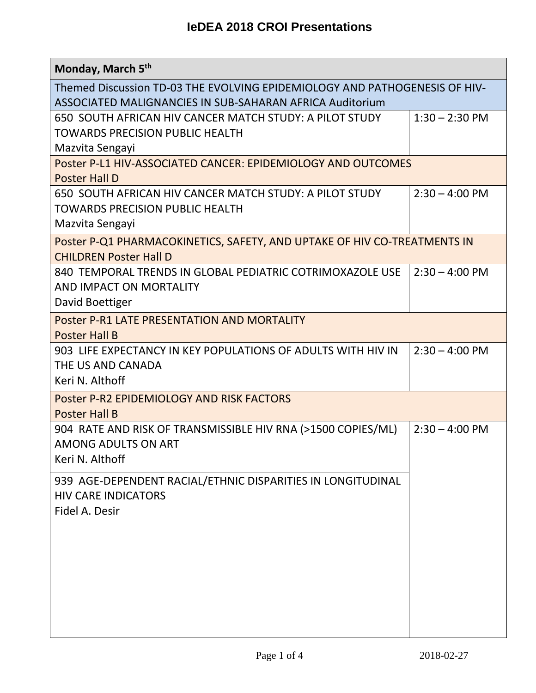| Monday, March 5th                                                                                                                      |                          |  |
|----------------------------------------------------------------------------------------------------------------------------------------|--------------------------|--|
| Themed Discussion TD-03 THE EVOLVING EPIDEMIOLOGY AND PATHOGENESIS OF HIV-<br>ASSOCIATED MALIGNANCIES IN SUB-SAHARAN AFRICA Auditorium |                          |  |
| 650 SOUTH AFRICAN HIV CANCER MATCH STUDY: A PILOT STUDY<br>TOWARDS PRECISION PUBLIC HEALTH<br>Mazvita Sengayi                          | $1:30 - 2:30$ PM         |  |
| Poster P-L1 HIV-ASSOCIATED CANCER: EPIDEMIOLOGY AND OUTCOMES<br><b>Poster Hall D</b>                                                   |                          |  |
| 650 SOUTH AFRICAN HIV CANCER MATCH STUDY: A PILOT STUDY<br><b>TOWARDS PRECISION PUBLIC HEALTH</b><br>Mazvita Sengayi                   | $2:30 - 4:00 \text{ PM}$ |  |
| Poster P-Q1 PHARMACOKINETICS, SAFETY, AND UPTAKE OF HIV CO-TREATMENTS IN<br><b>CHILDREN Poster Hall D</b>                              |                          |  |
| 840 TEMPORAL TRENDS IN GLOBAL PEDIATRIC COTRIMOXAZOLE USE<br>AND IMPACT ON MORTALITY<br>David Boettiger                                | $2:30 - 4:00$ PM         |  |
| Poster P-R1 LATE PRESENTATION AND MORTALITY<br><b>Poster Hall B</b>                                                                    |                          |  |
| 903 LIFE EXPECTANCY IN KEY POPULATIONS OF ADULTS WITH HIV IN<br>THE US AND CANADA<br>Keri N. Althoff                                   | $2:30 - 4:00$ PM         |  |
| Poster P-R2 EPIDEMIOLOGY AND RISK FACTORS<br><b>Poster Hall B</b>                                                                      |                          |  |
| 904 RATE AND RISK OF TRANSMISSIBLE HIV RNA (>1500 COPIES/ML)<br><b>AMONG ADULTS ON ART</b><br>Keri N. Althoff                          | $2:30 - 4:00$ PM         |  |
| 939 AGE-DEPENDENT RACIAL/ETHNIC DISPARITIES IN LONGITUDINAL<br><b>HIV CARE INDICATORS</b><br>Fidel A. Desir                            |                          |  |
|                                                                                                                                        |                          |  |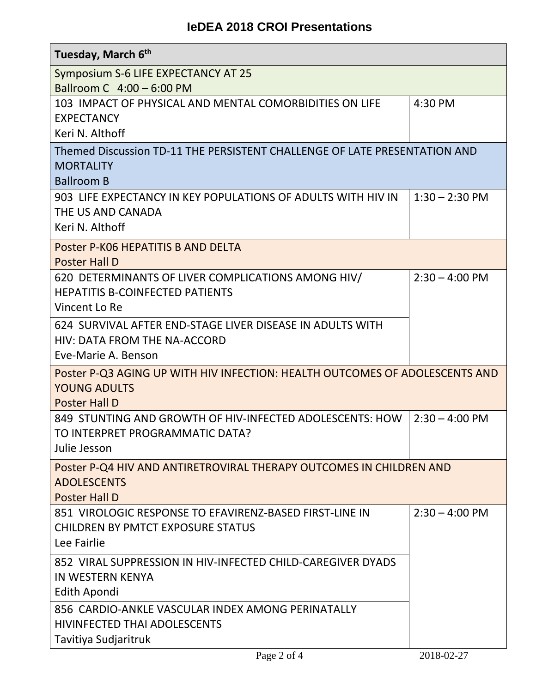## **IeDEA 2018 CROI Presentations**

| Tuesday, March 6 <sup>th</sup>                                                                                             |                          |  |
|----------------------------------------------------------------------------------------------------------------------------|--------------------------|--|
| Symposium S-6 LIFE EXPECTANCY AT 25                                                                                        |                          |  |
| Ballroom C 4:00 - 6:00 PM<br>103 IMPACT OF PHYSICAL AND MENTAL COMORBIDITIES ON LIFE                                       | 4:30 PM                  |  |
| <b>EXPECTANCY</b>                                                                                                          |                          |  |
| Keri N. Althoff                                                                                                            |                          |  |
| Themed Discussion TD-11 THE PERSISTENT CHALLENGE OF LATE PRESENTATION AND<br><b>MORTALITY</b><br><b>Ballroom B</b>         |                          |  |
| 903 LIFE EXPECTANCY IN KEY POPULATIONS OF ADULTS WITH HIV IN<br>THE US AND CANADA<br>Keri N. Althoff                       | $1:30 - 2:30$ PM         |  |
| Poster P-K06 HEPATITIS B AND DELTA<br><b>Poster Hall D</b>                                                                 |                          |  |
| 620 DETERMINANTS OF LIVER COMPLICATIONS AMONG HIV/<br><b>HEPATITIS B-COINFECTED PATIENTS</b><br>Vincent Lo Re              | $2:30 - 4:00$ PM         |  |
| 624 SURVIVAL AFTER END-STAGE LIVER DISEASE IN ADULTS WITH<br>HIV: DATA FROM THE NA-ACCORD<br>Eve-Marie A. Benson           |                          |  |
| Poster P-Q3 AGING UP WITH HIV INFECTION: HEALTH OUTCOMES OF ADOLESCENTS AND<br><b>YOUNG ADULTS</b><br><b>Poster Hall D</b> |                          |  |
| 849 STUNTING AND GROWTH OF HIV-INFECTED ADOLESCENTS: HOW<br>TO INTERPRET PROGRAMMATIC DATA?<br>Julie Jesson                | $2:30 - 4:00 \text{ PM}$ |  |
| Poster P-Q4 HIV AND ANTIRETROVIRAL THERAPY OUTCOMES IN CHILDREN AND<br><b>ADOLESCENTS</b><br><b>Poster Hall D</b>          |                          |  |
| 851 VIROLOGIC RESPONSE TO EFAVIRENZ-BASED FIRST-LINE IN<br><b>CHILDREN BY PMTCT EXPOSURE STATUS</b><br>Lee Fairlie         | $2:30 - 4:00 \text{ PM}$ |  |
| 852 VIRAL SUPPRESSION IN HIV-INFECTED CHILD-CAREGIVER DYADS<br><b>IN WESTERN KENYA</b><br>Edith Apondi                     |                          |  |
| 856 CARDIO-ANKLE VASCULAR INDEX AMONG PERINATALLY                                                                          |                          |  |
| HIVINFECTED THAI ADOLESCENTS                                                                                               |                          |  |
| Tavitiya Sudjaritruk<br>Page 2 of 4                                                                                        | 2018-02-27               |  |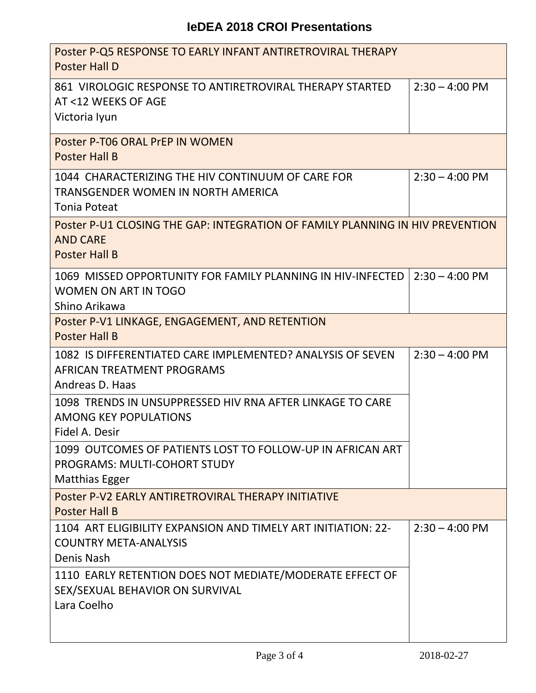| Poster P-Q5 RESPONSE TO EARLY INFANT ANTIRETROVIRAL THERAPY<br><b>Poster Hall D</b>                                        |                          |  |
|----------------------------------------------------------------------------------------------------------------------------|--------------------------|--|
| 861 VIROLOGIC RESPONSE TO ANTIRETROVIRAL THERAPY STARTED<br>AT <12 WEEKS OF AGE<br>Victoria Iyun                           | $2:30 - 4:00 \text{ PM}$ |  |
| Poster P-T06 ORAL PrEP IN WOMEN<br><b>Poster Hall B</b>                                                                    |                          |  |
| 1044 CHARACTERIZING THE HIV CONTINUUM OF CARE FOR<br>TRANSGENDER WOMEN IN NORTH AMERICA<br><b>Tonia Poteat</b>             | $2:30 - 4:00$ PM         |  |
| Poster P-U1 CLOSING THE GAP: INTEGRATION OF FAMILY PLANNING IN HIV PREVENTION<br><b>AND CARE</b><br><b>Poster Hall B</b>   |                          |  |
| 1069 MISSED OPPORTUNITY FOR FAMILY PLANNING IN HIV-INFECTED<br><b>WOMEN ON ART IN TOGO</b><br>Shino Arikawa                | $2:30 - 4:00$ PM         |  |
| Poster P-V1 LINKAGE, ENGAGEMENT, AND RETENTION<br><b>Poster Hall B</b>                                                     |                          |  |
| 1082 IS DIFFERENTIATED CARE IMPLEMENTED? ANALYSIS OF SEVEN<br>AFRICAN TREATMENT PROGRAMS<br>Andreas D. Haas                | $2:30 - 4:00$ PM         |  |
| 1098 TRENDS IN UNSUPPRESSED HIV RNA AFTER LINKAGE TO CARE<br><b>AMONG KEY POPULATIONS</b><br>Fidel A. Desir                |                          |  |
| 1099 OUTCOMES OF PATIENTS LOST TO FOLLOW-UP IN AFRICAN ART<br><b>PROGRAMS: MULTI-COHORT STUDY</b><br><b>Matthias Egger</b> |                          |  |
| Poster P-V2 EARLY ANTIRETROVIRAL THERAPY INITIATIVE<br><b>Poster Hall B</b>                                                |                          |  |
| 1104 ART ELIGIBILITY EXPANSION AND TIMELY ART INITIATION: 22-<br><b>COUNTRY META-ANALYSIS</b><br>Denis Nash                | $2:30 - 4:00 \text{ PM}$ |  |
| 1110 EARLY RETENTION DOES NOT MEDIATE/MODERATE EFFECT OF<br>SEX/SEXUAL BEHAVIOR ON SURVIVAL<br>Lara Coelho                 |                          |  |